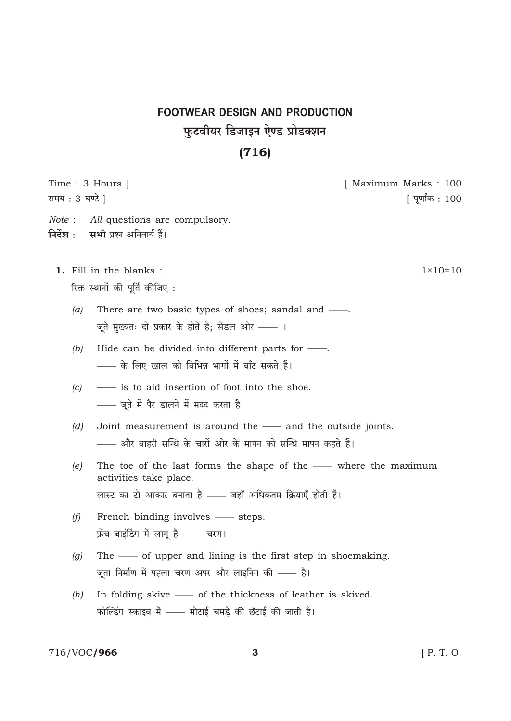# **FOOTWEAR DESIGN AND PRODUCTION** फुटवीयर डिजाइन ऐण्ड प्रोडक्शन

### $(716)$

Time: 3 Hours | [ Maximum Marks: 100 समय: 3 घण्टे | [ पूर्णांक : 100 Note: All questions are compulsory. निर्देश : सभी प्रश्न अनिवार्य हैं। 1. Fill in the blanks:  $1 \times 10 = 10$ रिक्त स्थानों की पूर्ति कीजिए: There are two basic types of shoes; sandal and —.  $(a)$ जूते मुख्यतः दो प्रकार के होते हैं; सैंडल और —— । Hide can be divided into different parts for - $(b)$ - के लिए खाल को विभिन्न भागों में बाँट सकते हैं।  $(c)$ - is to aid insertion of foot into the shoe. - जूते में पैर डालने में मदद करता है। Joint measurement is around the - and the outside joints.  $(d)$ - और बाहरी सन्धि के चारों ओर के मापन को सन्धि मापन कहते हैं। The toe of the last forms the shape of the - where the maximum  $(e)$ activities take place. लास्ट का टो आकार बनाता है - बहाँ अधिकतम क्रियाएँ होती हैं।  $(f)$ French binding involves - steps. फ्रेंच बाइंडिंग में लागू हैं - चरण। The - of upper and lining is the first step in shoemaking.  $(g)$ जूता निर्माण में पहला चरण अपर और लाइनिंग की —— है। In folding skive - of the thickness of leather is skived.  $(h)$ फोल्डिंग स्काइव में - मोटाई चमड़े की छँटाई की जाती है।

#### 716/VOC/966

[ P. T. O.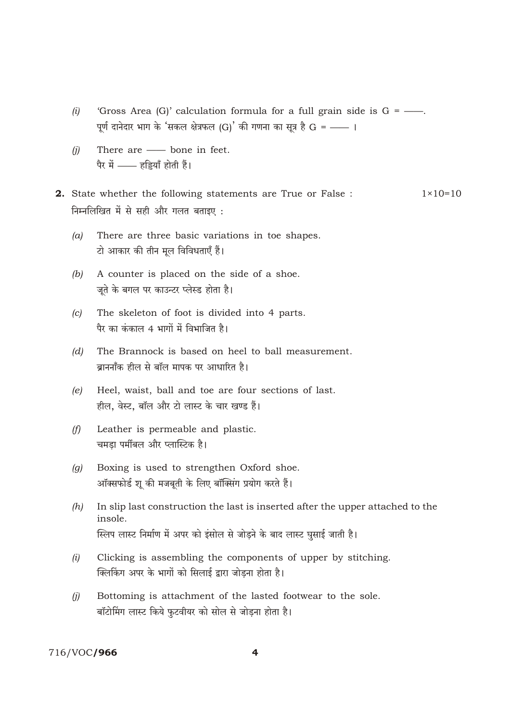- 'Gross Area (G)' calculation formula for a full grain side is  $G =$ .  $(i)$ पूर्ण दानेदार भाग के 'सकल क्षेत्रफल (G)' की गणना का सूत्र है G = -- ।
- There are bone in feet.  $(i)$ पैर में - हड्डियाँ होती हैं।
- 2. State whether the following statements are True or False :  $1 \times 10 = 10$ निम्नलिखित में से सही और गलत बताइए:
	- There are three basic variations in toe shapes.  $(a)$ टो आकार की तीन मूल विविधताएँ हैं।
	- $(b)$ A counter is placed on the side of a shoe. जूते के बगल पर काउन्टर प्लेस्ड होता है।
	- The skeleton of foot is divided into 4 parts.  $(c)$ पैर का कंकाल 4 भागों में विभाजित है।
	- The Brannock is based on heel to ball measurement.  $(d)$ ब्राननॉंक हील से बॉल मापक पर आधारित है।
	- Heel, waist, ball and toe are four sections of last.  $(e)$ हील, वेस्ट, बॉल और टो लास्ट के चार खण्ड हैं।
	- Leather is permeable and plastic.  $(f)$ चमडा पर्मीबल और प्लास्टिक है।
	- Boxing is used to strengthen Oxford shoe.  $(a)$ ऑक्सफोर्ड शू की मजबूती के लिए बॉक्सिंग प्रयोग करते हैं।
	- $(h)$ In slip last construction the last is inserted after the upper attached to the insole. स्लिप लास्ट निर्माण में अपर को इंसोल से जोड़ने के बाद लास्ट घुसाई जाती है।
	- Clicking is assembling the components of upper by stitching.  $(i)$ क्लिकिंग अपर के भागों को सिलाई द्वारा जोडना होता है।
	- Bottoming is attachment of the lasted footwear to the sole.  $(i)$ बॉटोमिंग लास्ट किये फुटवीयर को सोल से जोड़ना होता है।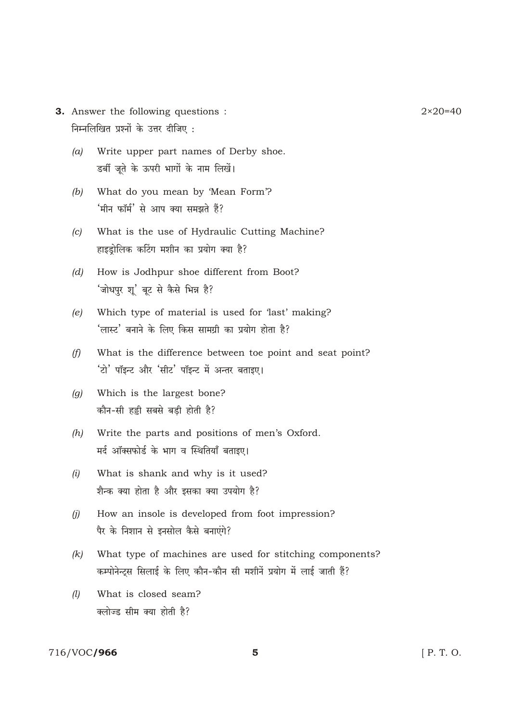- 3. Answer the following questions: निम्नलिखित प्रश्नों के उत्तर दीजिए:
	- $(a)$ Write upper part names of Derby shoe. डर्बी जूते के ऊपरी भागों के नाम लिखें।
	- $(b)$ What do you mean by 'Mean Form'? 'मीन फॉर्म' से आप क्या समझते हैं?
	- What is the use of Hydraulic Cutting Machine?  $(c)$ हाइडोलिक कटिंग मशीन का प्रयोग क्या है?
	- How is Jodhpur shoe different from Boot?  $(d)$ 'जोधपुर शू' बूट से कैसे भिन्न है?
	- $(e)$ Which type of material is used for 'last' making? 'लास्ट' बनाने के लिए किस सामग्री का प्रयोग होता है?
	- What is the difference between toe point and seat point?  $(f)$ 'टो' पॉइन्ट और 'सीट' पॉइन्ट में अन्तर बताइए।
	- Which is the largest bone?  $(q)$ कौन-सी हड़ी सबसे बड़ी होती है?
	- $(h)$ Write the parts and positions of men's Oxford. मर्द ऑक्सफोर्ड के भाग व स्थितियाँ बताइए।
	- What is shank and why is it used?  $(i)$ शैन्क क्या होता है और इसका क्या उपयोग है?
	- How an insole is developed from foot impression?  $(i)$ पैर के निशान से इनसोल कैसे बनाएंगे?
	- What type of machines are used for stitching components?  $(k)$ कम्पोनेन्ट्स सिलाई के लिए कौन-कौन सी मशीनें प्रयोग में लाई जाती हैं?
	- $(l)$ What is closed seam? क्लोज्ड सीम क्या होती है?

#### 716/VOC/966